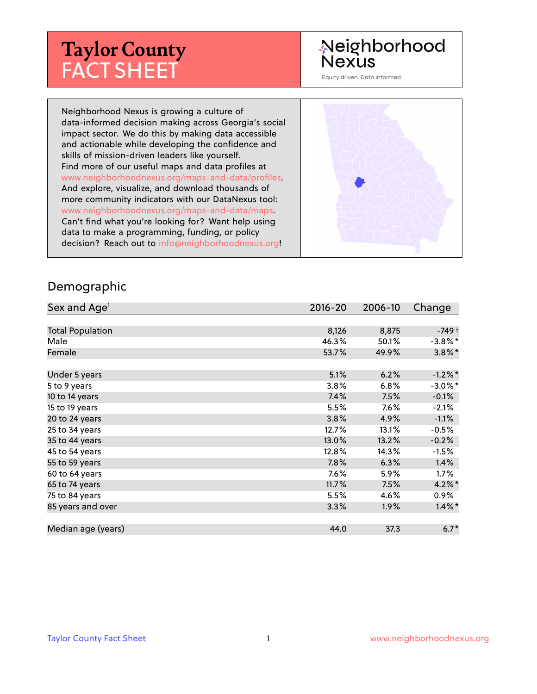# **Taylor County** FACT SHEET

# Neighborhood Nexus

Equity driven. Data informed.

Neighborhood Nexus is growing a culture of data-informed decision making across Georgia's social impact sector. We do this by making data accessible and actionable while developing the confidence and skills of mission-driven leaders like yourself. Find more of our useful maps and data profiles at www.neighborhoodnexus.org/maps-and-data/profiles. And explore, visualize, and download thousands of more community indicators with our DataNexus tool: www.neighborhoodnexus.org/maps-and-data/maps. Can't find what you're looking for? Want help using data to make a programming, funding, or policy decision? Reach out to [info@neighborhoodnexus.org!](mailto:info@neighborhoodnexus.org)



#### Demographic

| Sex and Age <sup>1</sup> | $2016 - 20$ | 2006-10 | Change     |
|--------------------------|-------------|---------|------------|
|                          |             |         |            |
| <b>Total Population</b>  | 8,126       | 8,875   | -749 †     |
| Male                     | 46.3%       | 50.1%   | $-3.8\%$ * |
| Female                   | 53.7%       | 49.9%   | $3.8\%$ *  |
|                          |             |         |            |
| Under 5 years            | 5.1%        | 6.2%    | $-1.2%$ *  |
| 5 to 9 years             | 3.8%        | $6.8\%$ | $-3.0\%$ * |
| 10 to 14 years           | 7.4%        | 7.5%    | $-0.1\%$   |
| 15 to 19 years           | 5.5%        | 7.6%    | $-2.1%$    |
| 20 to 24 years           | 3.8%        | 4.9%    | $-1.1%$    |
| 25 to 34 years           | 12.7%       | 13.1%   | $-0.5%$    |
| 35 to 44 years           | 13.0%       | 13.2%   | $-0.2%$    |
| 45 to 54 years           | 12.8%       | 14.3%   | $-1.5%$    |
| 55 to 59 years           | 7.8%        | 6.3%    | 1.4%       |
| 60 to 64 years           | 7.6%        | 5.9%    | $1.7\%$    |
| 65 to 74 years           | 11.7%       | 7.5%    | $4.2\%$ *  |
| 75 to 84 years           | 5.5%        | 4.6%    | $0.9\%$    |
| 85 years and over        | 3.3%        | 1.9%    | $1.4\%$ *  |
|                          |             |         |            |
| Median age (years)       | 44.0        | 37.3    | $6.7*$     |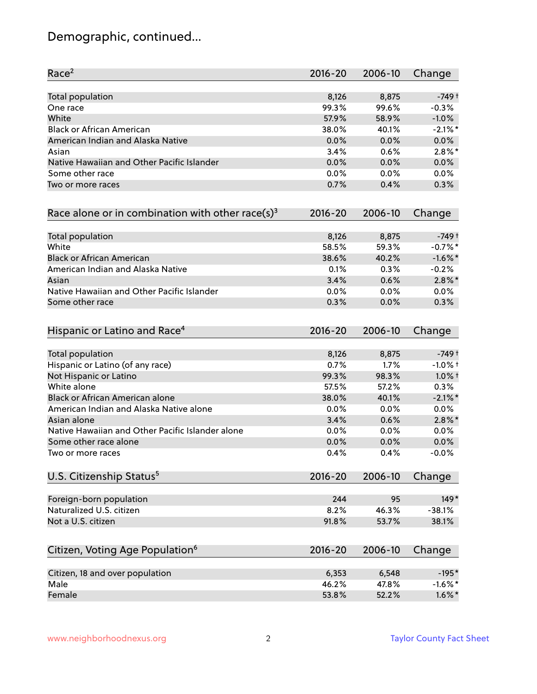# Demographic, continued...

| Race <sup>2</sup>                                            | $2016 - 20$ | 2006-10 | Change     |
|--------------------------------------------------------------|-------------|---------|------------|
| Total population                                             | 8,126       | 8,875   | $-749+$    |
| One race                                                     | 99.3%       | 99.6%   | $-0.3%$    |
| White                                                        | 57.9%       | 58.9%   | $-1.0%$    |
| <b>Black or African American</b>                             | 38.0%       | 40.1%   | $-2.1\%$ * |
| American Indian and Alaska Native                            | 0.0%        | 0.0%    | 0.0%       |
| Asian                                                        | 3.4%        | 0.6%    | $2.8\%$ *  |
| Native Hawaiian and Other Pacific Islander                   | 0.0%        | 0.0%    | 0.0%       |
| Some other race                                              | 0.0%        | 0.0%    | 0.0%       |
| Two or more races                                            | 0.7%        | 0.4%    | 0.3%       |
| Race alone or in combination with other race(s) <sup>3</sup> | $2016 - 20$ | 2006-10 | Change     |
| Total population                                             | 8,126       | 8,875   | $-749+$    |
| White                                                        | 58.5%       | 59.3%   | $-0.7%$ *  |
| <b>Black or African American</b>                             | 38.6%       | 40.2%   | $-1.6\%$ * |
| American Indian and Alaska Native                            | 0.1%        | 0.3%    | $-0.2%$    |
| Asian                                                        | 3.4%        | 0.6%    | $2.8\%$ *  |
| Native Hawaiian and Other Pacific Islander                   | 0.0%        | 0.0%    | 0.0%       |
| Some other race                                              | 0.3%        | 0.0%    | 0.3%       |
| Hispanic or Latino and Race <sup>4</sup>                     | $2016 - 20$ | 2006-10 | Change     |
| <b>Total population</b>                                      | 8,126       | 8,875   | $-749+$    |
| Hispanic or Latino (of any race)                             | 0.7%        | 1.7%    | $-1.0%$ +  |
| Not Hispanic or Latino                                       | 99.3%       | 98.3%   | $1.0\%$ †  |
| White alone                                                  | 57.5%       | 57.2%   | 0.3%       |
| Black or African American alone                              | 38.0%       | 40.1%   | $-2.1\%$ * |
| American Indian and Alaska Native alone                      | 0.0%        | 0.0%    | 0.0%       |
| Asian alone                                                  | 3.4%        | 0.6%    | $2.8\%$ *  |
| Native Hawaiian and Other Pacific Islander alone             | 0.0%        | 0.0%    | 0.0%       |
| Some other race alone                                        | 0.0%        | 0.0%    | 0.0%       |
| Two or more races                                            | 0.4%        | 0.4%    | $-0.0%$    |
| U.S. Citizenship Status <sup>5</sup>                         | $2016 - 20$ | 2006-10 | Change     |
| Foreign-born population                                      | 244         | 95      | $149*$     |
| Naturalized U.S. citizen                                     | 8.2%        | 46.3%   | $-38.1%$   |
| Not a U.S. citizen                                           | 91.8%       | 53.7%   | 38.1%      |
| Citizen, Voting Age Population <sup>6</sup>                  | $2016 - 20$ | 2006-10 | Change     |
| Citizen, 18 and over population                              | 6,353       | 6,548   | $-195*$    |
| Male                                                         | 46.2%       | 47.8%   | $-1.6%$ *  |
| Female                                                       | 53.8%       | 52.2%   | $1.6\%$ *  |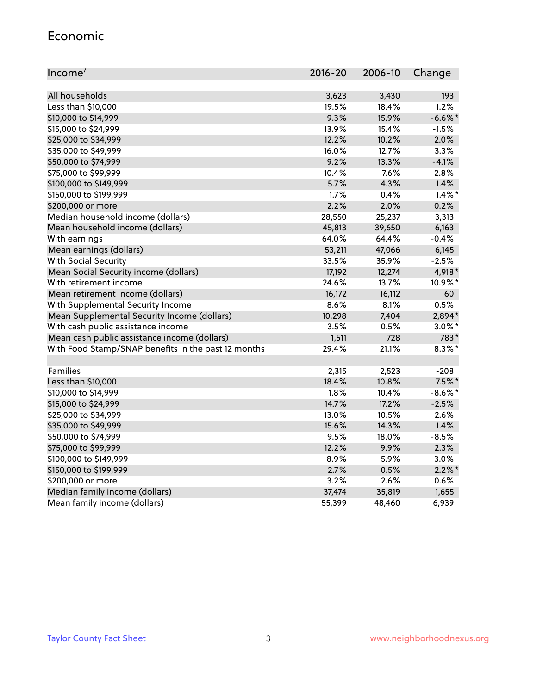#### Economic

| Income <sup>7</sup>                                 | $2016 - 20$ | 2006-10 | Change     |
|-----------------------------------------------------|-------------|---------|------------|
|                                                     |             |         |            |
| All households                                      | 3,623       | 3,430   | 193        |
| Less than \$10,000                                  | 19.5%       | 18.4%   | 1.2%       |
| \$10,000 to \$14,999                                | 9.3%        | 15.9%   | $-6.6\%$ * |
| \$15,000 to \$24,999                                | 13.9%       | 15.4%   | $-1.5%$    |
| \$25,000 to \$34,999                                | 12.2%       | 10.2%   | 2.0%       |
| \$35,000 to \$49,999                                | 16.0%       | 12.7%   | 3.3%       |
| \$50,000 to \$74,999                                | 9.2%        | 13.3%   | $-4.1%$    |
| \$75,000 to \$99,999                                | 10.4%       | 7.6%    | 2.8%       |
| \$100,000 to \$149,999                              | 5.7%        | 4.3%    | 1.4%       |
| \$150,000 to \$199,999                              | 1.7%        | 0.4%    | $1.4\%$ *  |
| \$200,000 or more                                   | 2.2%        | 2.0%    | 0.2%       |
| Median household income (dollars)                   | 28,550      | 25,237  | 3,313      |
| Mean household income (dollars)                     | 45,813      | 39,650  | 6,163      |
| With earnings                                       | 64.0%       | 64.4%   | $-0.4%$    |
| Mean earnings (dollars)                             | 53,211      | 47,066  | 6,145      |
| <b>With Social Security</b>                         | 33.5%       | 35.9%   | $-2.5%$    |
| Mean Social Security income (dollars)               | 17,192      | 12,274  | 4,918*     |
| With retirement income                              | 24.6%       | 13.7%   | 10.9%*     |
| Mean retirement income (dollars)                    | 16,172      | 16,112  | 60         |
| With Supplemental Security Income                   | 8.6%        | 8.1%    | 0.5%       |
| Mean Supplemental Security Income (dollars)         | 10,298      | 7,404   | 2,894*     |
| With cash public assistance income                  | 3.5%        | 0.5%    | $3.0\%$ *  |
| Mean cash public assistance income (dollars)        | 1,511       | 728     | 783*       |
| With Food Stamp/SNAP benefits in the past 12 months | 29.4%       | 21.1%   | $8.3\%$ *  |
|                                                     |             |         |            |
| Families                                            | 2,315       | 2,523   | $-208$     |
| Less than \$10,000                                  | 18.4%       | 10.8%   | $7.5\%$ *  |
| \$10,000 to \$14,999                                | 1.8%        | 10.4%   | $-8.6\%$ * |
| \$15,000 to \$24,999                                | 14.7%       | 17.2%   | $-2.5%$    |
| \$25,000 to \$34,999                                | 13.0%       | 10.5%   | 2.6%       |
| \$35,000 to \$49,999                                | 15.6%       | 14.3%   | 1.4%       |
| \$50,000 to \$74,999                                | 9.5%        | 18.0%   | $-8.5%$    |
| \$75,000 to \$99,999                                | 12.2%       | 9.9%    | 2.3%       |
| \$100,000 to \$149,999                              | 8.9%        | 5.9%    | 3.0%       |
| \$150,000 to \$199,999                              | 2.7%        | 0.5%    | $2.2\%$ *  |
| \$200,000 or more                                   | 3.2%        | 2.6%    | 0.6%       |
| Median family income (dollars)                      | 37,474      | 35,819  | 1,655      |
| Mean family income (dollars)                        | 55,399      | 48,460  | 6,939      |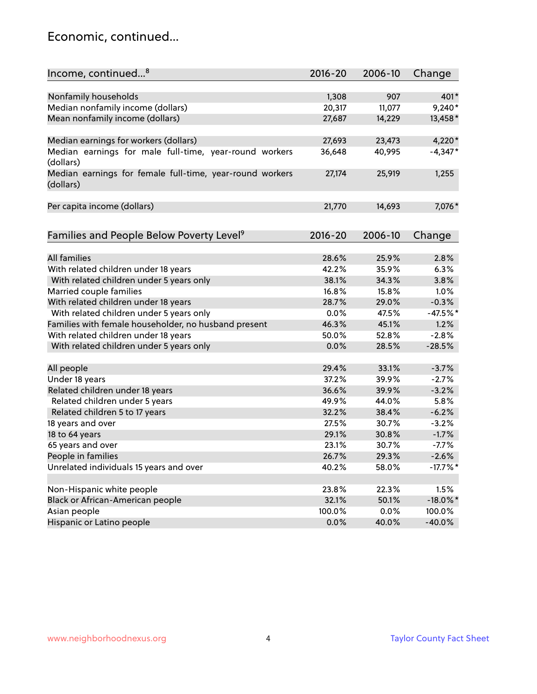### Economic, continued...

| Income, continued <sup>8</sup>                                        | $2016 - 20$ | 2006-10 | Change      |
|-----------------------------------------------------------------------|-------------|---------|-------------|
|                                                                       |             |         |             |
| Nonfamily households                                                  | 1,308       | 907     | 401*        |
| Median nonfamily income (dollars)                                     | 20,317      | 11,077  | $9,240*$    |
| Mean nonfamily income (dollars)                                       | 27,687      | 14,229  | 13,458*     |
| Median earnings for workers (dollars)                                 | 27,693      | 23,473  | $4,220*$    |
| Median earnings for male full-time, year-round workers                | 36,648      | 40,995  | $-4,347*$   |
| (dollars)                                                             |             |         |             |
| Median earnings for female full-time, year-round workers<br>(dollars) | 27,174      | 25,919  | 1,255       |
| Per capita income (dollars)                                           | 21,770      | 14,693  | 7,076*      |
|                                                                       |             |         |             |
| Families and People Below Poverty Level <sup>9</sup>                  | 2016-20     | 2006-10 | Change      |
| <b>All families</b>                                                   |             |         | 2.8%        |
|                                                                       | 28.6%       | 25.9%   |             |
| With related children under 18 years                                  | 42.2%       | 35.9%   | 6.3%        |
| With related children under 5 years only                              | 38.1%       | 34.3%   | 3.8%        |
| Married couple families                                               | 16.8%       | 15.8%   | 1.0%        |
| With related children under 18 years                                  | 28.7%       | 29.0%   | $-0.3%$     |
| With related children under 5 years only                              | 0.0%        | 47.5%   | $-47.5%$ *  |
| Families with female householder, no husband present                  | 46.3%       | 45.1%   | 1.2%        |
| With related children under 18 years                                  | 50.0%       | 52.8%   | $-2.8%$     |
| With related children under 5 years only                              | 0.0%        | 28.5%   | $-28.5%$    |
| All people                                                            | 29.4%       | 33.1%   | $-3.7%$     |
| Under 18 years                                                        | 37.2%       | 39.9%   | $-2.7%$     |
| Related children under 18 years                                       | 36.6%       | 39.9%   | $-3.2%$     |
| Related children under 5 years                                        | 49.9%       | 44.0%   | 5.8%        |
| Related children 5 to 17 years                                        | 32.2%       | 38.4%   | $-6.2%$     |
| 18 years and over                                                     | 27.5%       | 30.7%   | $-3.2%$     |
| 18 to 64 years                                                        | 29.1%       | 30.8%   | $-1.7%$     |
| 65 years and over                                                     | 23.1%       | 30.7%   | $-7.7%$     |
| People in families                                                    | 26.7%       | 29.3%   | $-2.6%$     |
| Unrelated individuals 15 years and over                               | 40.2%       | 58.0%   | $-17.7\%$ * |
|                                                                       |             |         |             |
| Non-Hispanic white people                                             | 23.8%       | 22.3%   | 1.5%        |
| Black or African-American people                                      | 32.1%       | 50.1%   | $-18.0\%$ * |
| Asian people                                                          | 100.0%      | 0.0%    | 100.0%      |
| Hispanic or Latino people                                             | 0.0%        | 40.0%   | $-40.0%$    |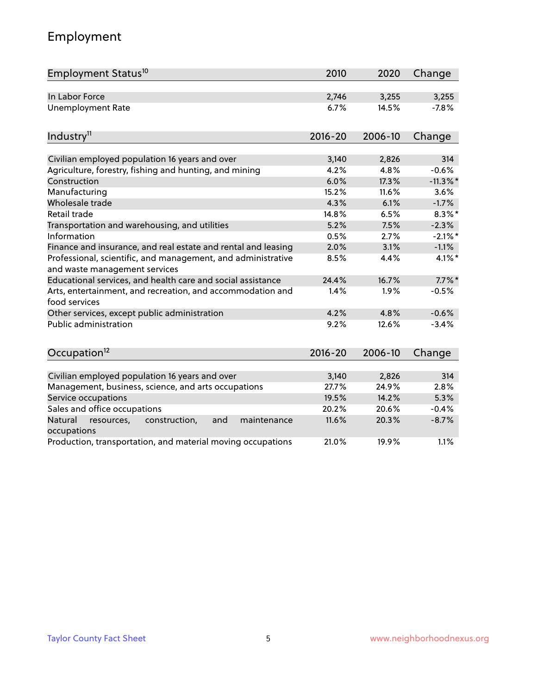# Employment

| Employment Status <sup>10</sup>                                                               | 2010        | 2020    | Change      |
|-----------------------------------------------------------------------------------------------|-------------|---------|-------------|
| In Labor Force                                                                                | 2,746       | 3,255   | 3,255       |
| <b>Unemployment Rate</b>                                                                      | 6.7%        | 14.5%   | $-7.8%$     |
| Industry <sup>11</sup>                                                                        | $2016 - 20$ | 2006-10 | Change      |
|                                                                                               |             |         |             |
| Civilian employed population 16 years and over                                                | 3,140       | 2,826   | 314         |
| Agriculture, forestry, fishing and hunting, and mining                                        | 4.2%        | 4.8%    | $-0.6%$     |
| Construction                                                                                  | 6.0%        | 17.3%   | $-11.3\%$ * |
| Manufacturing                                                                                 | 15.2%       | 11.6%   | 3.6%        |
| Wholesale trade                                                                               | 4.3%        | 6.1%    | $-1.7%$     |
| Retail trade                                                                                  | 14.8%       | 6.5%    | $8.3\%$ *   |
| Transportation and warehousing, and utilities                                                 | 5.2%        | 7.5%    | $-2.3%$     |
| Information                                                                                   | 0.5%        | 2.7%    | $-2.1\%$ *  |
| Finance and insurance, and real estate and rental and leasing                                 | 2.0%        | 3.1%    | $-1.1%$     |
| Professional, scientific, and management, and administrative<br>and waste management services | 8.5%        | 4.4%    | 4.1%*       |
| Educational services, and health care and social assistance                                   | 24.4%       | 16.7%   | $7.7\%$ *   |
| Arts, entertainment, and recreation, and accommodation and<br>food services                   | 1.4%        | 1.9%    | $-0.5%$     |
| Other services, except public administration                                                  | 4.2%        | 4.8%    | $-0.6%$     |
| <b>Public administration</b>                                                                  | 9.2%        | 12.6%   | $-3.4%$     |
| Occupation <sup>12</sup>                                                                      | $2016 - 20$ | 2006-10 | Change      |
|                                                                                               |             |         |             |
| Civilian employed population 16 years and over                                                | 3,140       | 2,826   | 314         |
| Management, business, science, and arts occupations                                           | 27.7%       | 24.9%   | 2.8%        |
| Service occupations                                                                           | 19.5%       | 14.2%   | 5.3%        |
| Sales and office occupations                                                                  | 20.2%       | 20.6%   | $-0.4%$     |
| Natural<br>construction,<br>resources,<br>and<br>maintenance<br>occupations                   | 11.6%       | 20.3%   | $-8.7%$     |
| Production, transportation, and material moving occupations                                   | 21.0%       | 19.9%   | 1.1%        |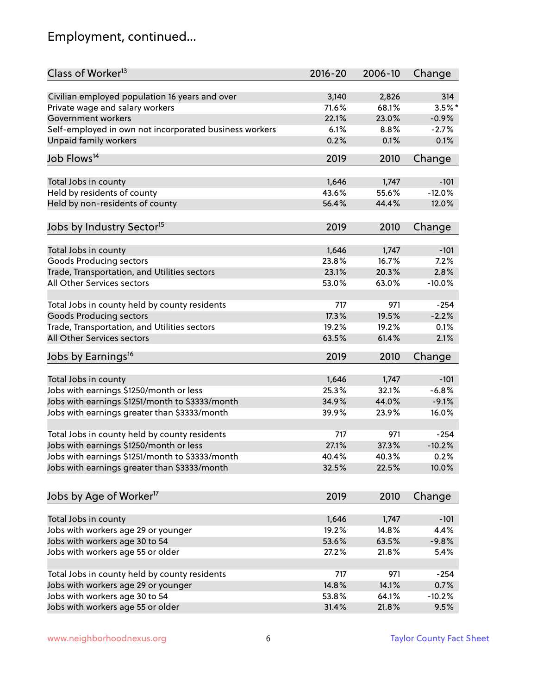# Employment, continued...

| Class of Worker <sup>13</sup>                          | $2016 - 20$ | 2006-10 | Change   |
|--------------------------------------------------------|-------------|---------|----------|
| Civilian employed population 16 years and over         | 3,140       | 2,826   | 314      |
| Private wage and salary workers                        | 71.6%       | 68.1%   | $3.5%$ * |
| Government workers                                     | 22.1%       | 23.0%   | $-0.9%$  |
| Self-employed in own not incorporated business workers | 6.1%        | 8.8%    | $-2.7%$  |
| Unpaid family workers                                  | 0.2%        | 0.1%    | 0.1%     |
|                                                        |             |         |          |
| Job Flows <sup>14</sup>                                | 2019        | 2010    | Change   |
| Total Jobs in county                                   | 1,646       | 1,747   | $-101$   |
| Held by residents of county                            | 43.6%       | 55.6%   | $-12.0%$ |
| Held by non-residents of county                        | 56.4%       | 44.4%   | 12.0%    |
|                                                        |             |         |          |
| Jobs by Industry Sector <sup>15</sup>                  | 2019        | 2010    | Change   |
| Total Jobs in county                                   | 1,646       | 1,747   | $-101$   |
| Goods Producing sectors                                | 23.8%       | 16.7%   | 7.2%     |
| Trade, Transportation, and Utilities sectors           | 23.1%       | 20.3%   | 2.8%     |
| All Other Services sectors                             | 53.0%       | 63.0%   | $-10.0%$ |
|                                                        |             |         |          |
| Total Jobs in county held by county residents          | 717         | 971     | $-254$   |
| <b>Goods Producing sectors</b>                         | 17.3%       | 19.5%   | $-2.2%$  |
| Trade, Transportation, and Utilities sectors           | 19.2%       | 19.2%   | 0.1%     |
| All Other Services sectors                             | 63.5%       | 61.4%   | 2.1%     |
| Jobs by Earnings <sup>16</sup>                         | 2019        | 2010    | Change   |
|                                                        |             |         |          |
| Total Jobs in county                                   | 1,646       | 1,747   | $-101$   |
| Jobs with earnings \$1250/month or less                | 25.3%       | 32.1%   | $-6.8%$  |
| Jobs with earnings \$1251/month to \$3333/month        | 34.9%       | 44.0%   | $-9.1%$  |
| Jobs with earnings greater than \$3333/month           | 39.9%       | 23.9%   | 16.0%    |
| Total Jobs in county held by county residents          | 717         | 971     | $-254$   |
| Jobs with earnings \$1250/month or less                | 27.1%       | 37.3%   | $-10.2%$ |
| Jobs with earnings \$1251/month to \$3333/month        | 40.4%       | 40.3%   | $0.2\%$  |
| Jobs with earnings greater than \$3333/month           | 32.5%       | 22.5%   | 10.0%    |
|                                                        |             |         |          |
| Jobs by Age of Worker <sup>17</sup>                    | 2019        | 2010    | Change   |
|                                                        |             |         |          |
| Total Jobs in county                                   | 1,646       | 1,747   | $-101$   |
| Jobs with workers age 29 or younger                    | 19.2%       | 14.8%   | 4.4%     |
| Jobs with workers age 30 to 54                         | 53.6%       | 63.5%   | $-9.8%$  |
| Jobs with workers age 55 or older                      | 27.2%       | 21.8%   | 5.4%     |
| Total Jobs in county held by county residents          | 717         | 971     | $-254$   |
| Jobs with workers age 29 or younger                    | 14.8%       | 14.1%   | 0.7%     |
| Jobs with workers age 30 to 54                         | 53.8%       | 64.1%   | $-10.2%$ |
| Jobs with workers age 55 or older                      | 31.4%       | 21.8%   | 9.5%     |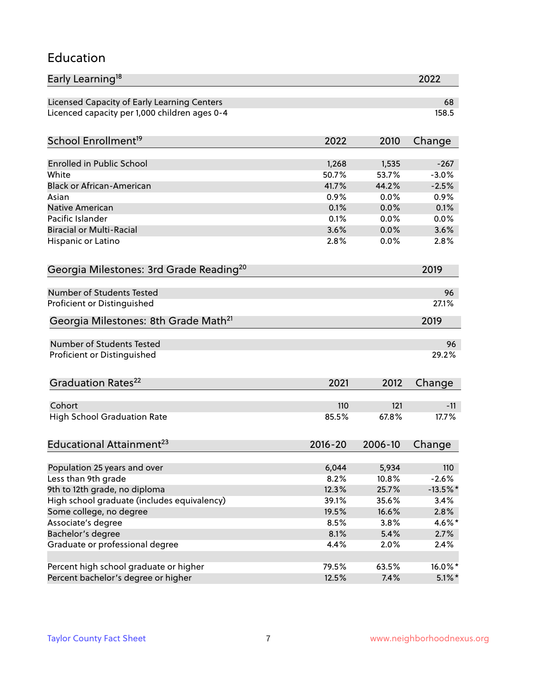#### Education

| Early Learning <sup>18</sup>                        |             |         | 2022        |
|-----------------------------------------------------|-------------|---------|-------------|
| Licensed Capacity of Early Learning Centers         |             |         | 68          |
| Licenced capacity per 1,000 children ages 0-4       |             |         | 158.5       |
| School Enrollment <sup>19</sup>                     | 2022        | 2010    | Change      |
|                                                     |             |         |             |
| <b>Enrolled in Public School</b>                    | 1,268       | 1,535   | $-267$      |
| White                                               | 50.7%       | 53.7%   | $-3.0%$     |
| <b>Black or African-American</b>                    | 41.7%       | 44.2%   | $-2.5%$     |
| Asian                                               | 0.9%        | 0.0%    | 0.9%        |
| <b>Native American</b>                              | 0.1%        | 0.0%    | 0.1%        |
| Pacific Islander                                    | 0.1%        | 0.0%    | 0.0%        |
| <b>Biracial or Multi-Racial</b>                     | 3.6%        | 0.0%    | 3.6%        |
| Hispanic or Latino                                  | 2.8%        | 0.0%    | 2.8%        |
| Georgia Milestones: 3rd Grade Reading <sup>20</sup> |             |         | 2019        |
| <b>Number of Students Tested</b>                    |             |         |             |
|                                                     |             |         | 96          |
| Proficient or Distinguished                         |             |         | 27.1%       |
| Georgia Milestones: 8th Grade Math <sup>21</sup>    |             |         | 2019        |
| <b>Number of Students Tested</b>                    |             |         | 96          |
| Proficient or Distinguished                         |             |         | 29.2%       |
| Graduation Rates <sup>22</sup>                      | 2021        | 2012    | Change      |
|                                                     |             |         |             |
| Cohort                                              | 110         | 121     | $-11$       |
| <b>High School Graduation Rate</b>                  | 85.5%       | 67.8%   | 17.7%       |
| Educational Attainment <sup>23</sup>                | $2016 - 20$ | 2006-10 | Change      |
| Population 25 years and over                        | 6,044       | 5,934   | 110         |
| Less than 9th grade                                 | 8.2%        | 10.8%   | $-2.6%$     |
| 9th to 12th grade, no diploma                       | 12.3%       | 25.7%   | $-13.5\%$ * |
|                                                     |             |         |             |
| High school graduate (includes equivalency)         | 39.1%       | 35.6%   | 3.4%        |
| Some college, no degree                             | 19.5%       | 16.6%   | 2.8%        |
| Associate's degree                                  | 8.5%        | 3.8%    | $4.6\%$ *   |
| Bachelor's degree                                   | 8.1%        | 5.4%    | 2.7%        |
| Graduate or professional degree                     | 4.4%        | 2.0%    | 2.4%        |
| Percent high school graduate or higher              | 79.5%       | 63.5%   | 16.0%*      |
| Percent bachelor's degree or higher                 | 12.5%       | 7.4%    | $5.1\%$ *   |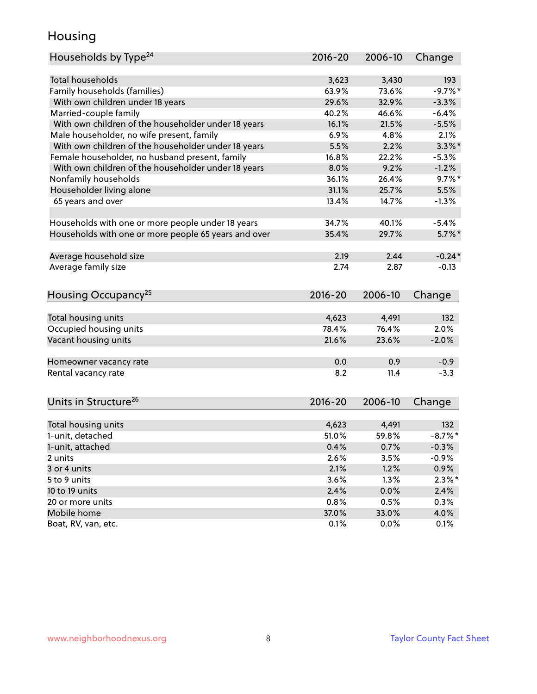### Housing

| Households by Type <sup>24</sup>                     | 2016-20     | 2006-10 | Change     |
|------------------------------------------------------|-------------|---------|------------|
|                                                      |             |         |            |
| <b>Total households</b>                              | 3,623       | 3,430   | 193        |
| Family households (families)                         | 63.9%       | 73.6%   | $-9.7%$ *  |
| With own children under 18 years                     | 29.6%       | 32.9%   | $-3.3%$    |
| Married-couple family                                | 40.2%       | 46.6%   | $-6.4%$    |
| With own children of the householder under 18 years  | 16.1%       | 21.5%   | $-5.5%$    |
| Male householder, no wife present, family            | 6.9%        | 4.8%    | 2.1%       |
| With own children of the householder under 18 years  | 5.5%        | 2.2%    | $3.3\%$ *  |
| Female householder, no husband present, family       | 16.8%       | 22.2%   | $-5.3%$    |
| With own children of the householder under 18 years  | 8.0%        | 9.2%    | $-1.2%$    |
| Nonfamily households                                 | 36.1%       | 26.4%   | $9.7\%$ *  |
| Householder living alone                             | 31.1%       | 25.7%   | 5.5%       |
| 65 years and over                                    | 13.4%       | 14.7%   | $-1.3%$    |
|                                                      |             |         |            |
| Households with one or more people under 18 years    | 34.7%       | 40.1%   | $-5.4%$    |
| Households with one or more people 65 years and over | 35.4%       | 29.7%   | $5.7\%$ *  |
|                                                      |             |         |            |
| Average household size                               | 2.19        | 2.44    | $-0.24*$   |
| Average family size                                  | 2.74        | 2.87    | $-0.13$    |
| Housing Occupancy <sup>25</sup>                      | 2016-20     | 2006-10 | Change     |
|                                                      |             |         |            |
| Total housing units                                  | 4,623       | 4,491   | 132        |
| Occupied housing units                               | 78.4%       | 76.4%   | 2.0%       |
| Vacant housing units                                 | 21.6%       | 23.6%   | $-2.0%$    |
|                                                      |             |         |            |
| Homeowner vacancy rate                               | 0.0         | 0.9     | $-0.9$     |
| Rental vacancy rate                                  | 8.2         | 11.4    | $-3.3$     |
|                                                      |             |         |            |
| Units in Structure <sup>26</sup>                     | $2016 - 20$ | 2006-10 | Change     |
| Total housing units                                  | 4,623       | 4,491   | 132        |
| 1-unit, detached                                     | 51.0%       | 59.8%   | $-8.7\%$ * |
| 1-unit, attached                                     | 0.4%        | 0.7%    | $-0.3%$    |
| 2 units                                              | 2.6%        | 3.5%    | $-0.9%$    |
| 3 or 4 units                                         | 2.1%        | 1.2%    | $0.9\%$    |
| 5 to 9 units                                         | 3.6%        | 1.3%    | $2.3\%$ *  |
| 10 to 19 units                                       | 2.4%        | 0.0%    | 2.4%       |
| 20 or more units                                     | 0.8%        | 0.5%    | 0.3%       |
| Mobile home                                          | 37.0%       | 33.0%   | 4.0%       |
| Boat, RV, van, etc.                                  | 0.1%        | 0.0%    | 0.1%       |
|                                                      |             |         |            |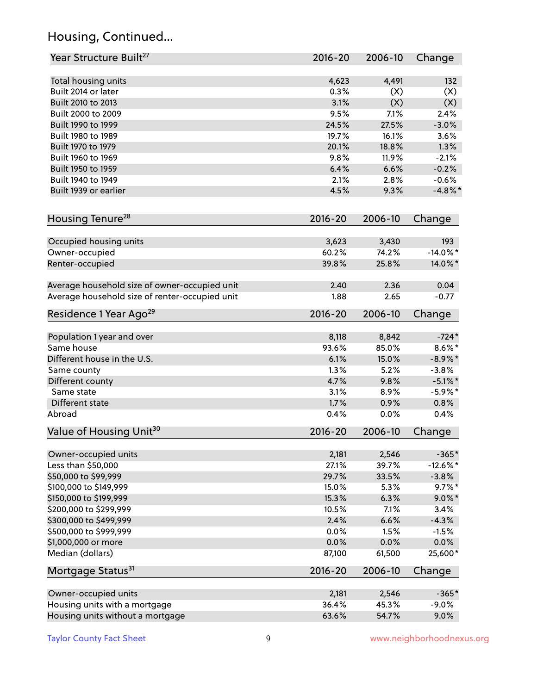# Housing, Continued...

| Year Structure Built <sup>27</sup>             | 2016-20        | 2006-10        | Change               |
|------------------------------------------------|----------------|----------------|----------------------|
| Total housing units                            | 4,623          | 4,491          | 132                  |
| Built 2014 or later                            | 0.3%           | (X)            | (X)                  |
| Built 2010 to 2013                             | 3.1%           | (X)            | (X)                  |
| Built 2000 to 2009                             | 9.5%           | 7.1%           | 2.4%                 |
| Built 1990 to 1999                             | 24.5%          | 27.5%          | $-3.0%$              |
| Built 1980 to 1989                             | 19.7%          | 16.1%          | 3.6%                 |
| Built 1970 to 1979                             | 20.1%          | 18.8%          | 1.3%                 |
| Built 1960 to 1969                             | 9.8%           | 11.9%          | $-2.1%$              |
| Built 1950 to 1959                             | 6.4%           | 6.6%           | $-0.2%$              |
| Built 1940 to 1949                             | 2.1%           | 2.8%           | $-0.6%$              |
| Built 1939 or earlier                          | 4.5%           | 9.3%           | $-4.8\%$ *           |
| Housing Tenure <sup>28</sup>                   | $2016 - 20$    | 2006-10        | Change               |
|                                                |                |                |                      |
| Occupied housing units                         | 3,623          | 3,430          | 193                  |
| Owner-occupied                                 | 60.2%          | 74.2%          | $-14.0\%$ *          |
| Renter-occupied                                | 39.8%          | 25.8%          | 14.0%*               |
| Average household size of owner-occupied unit  | 2.40           | 2.36           | 0.04                 |
| Average household size of renter-occupied unit | 1.88           | 2.65           | $-0.77$              |
| Residence 1 Year Ago <sup>29</sup>             | 2016-20        | 2006-10        | Change               |
|                                                |                |                |                      |
| Population 1 year and over<br>Same house       | 8,118<br>93.6% | 8,842<br>85.0% | $-724*$<br>$8.6\%$ * |
| Different house in the U.S.                    | 6.1%           | 15.0%          | $-8.9\%*$            |
| Same county                                    | 1.3%           | 5.2%           | $-3.8%$              |
| Different county                               | 4.7%           | 9.8%           | $-5.1\%$ *           |
| Same state                                     | 3.1%           | 8.9%           | $-5.9\%$ *           |
| Different state                                | 1.7%           | 0.9%           | 0.8%                 |
| Abroad                                         | 0.4%           | 0.0%           | 0.4%                 |
| Value of Housing Unit <sup>30</sup>            | $2016 - 20$    | 2006-10        | Change               |
|                                                |                |                |                      |
| Owner-occupied units                           | 2,181          | 2,546          | $-365*$              |
| Less than \$50,000                             | 27.1%          | 39.7%          | $-12.6\%$ *          |
| \$50,000 to \$99,999                           | 29.7%          | 33.5%          | $-3.8%$              |
| \$100,000 to \$149,999                         | 15.0%          | 5.3%           | $9.7\%$ *            |
| \$150,000 to \$199,999                         | 15.3%          | 6.3%           | $9.0\%$ *            |
| \$200,000 to \$299,999                         | 10.5%          | 7.1%           | 3.4%                 |
| \$300,000 to \$499,999                         | 2.4%           | 6.6%           | $-4.3%$              |
| \$500,000 to \$999,999                         | 0.0%           | 1.5%           | $-1.5%$              |
| \$1,000,000 or more                            | 0.0%           | 0.0%           | 0.0%                 |
| Median (dollars)                               | 87,100         | 61,500         | 25,600*              |
| Mortgage Status <sup>31</sup>                  | 2016-20        | 2006-10        | Change               |
| Owner-occupied units                           | 2,181          | 2,546          | $-365*$              |
| Housing units with a mortgage                  | 36.4%          | 45.3%          | $-9.0%$              |
| Housing units without a mortgage               | 63.6%          | 54.7%          | 9.0%                 |
|                                                |                |                |                      |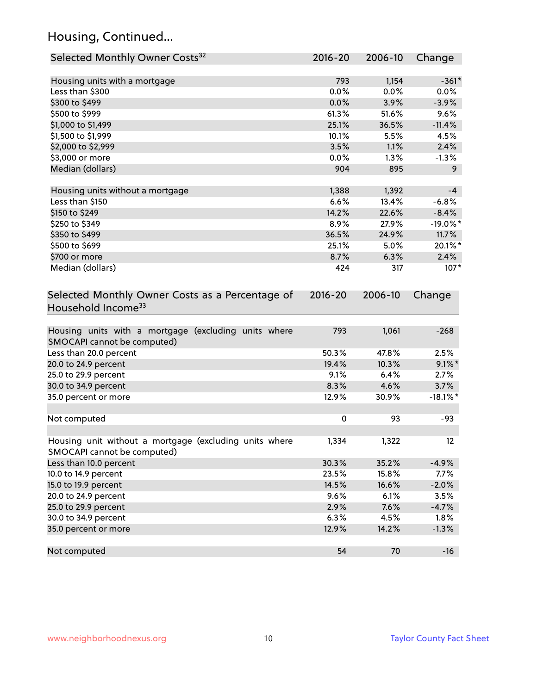# Housing, Continued...

| Selected Monthly Owner Costs <sup>32</sup>                                            | 2016-20     | 2006-10 | Change      |
|---------------------------------------------------------------------------------------|-------------|---------|-------------|
| Housing units with a mortgage                                                         | 793         | 1,154   | $-361*$     |
| Less than \$300                                                                       | 0.0%        | 0.0%    | 0.0%        |
| \$300 to \$499                                                                        | 0.0%        | 3.9%    | $-3.9%$     |
| \$500 to \$999                                                                        | 61.3%       | 51.6%   | 9.6%        |
| \$1,000 to \$1,499                                                                    | 25.1%       | 36.5%   | $-11.4%$    |
| \$1,500 to \$1,999                                                                    | 10.1%       | 5.5%    | 4.5%        |
| \$2,000 to \$2,999                                                                    | 3.5%        | 1.1%    | 2.4%        |
| \$3,000 or more                                                                       | 0.0%        | 1.3%    | $-1.3%$     |
| Median (dollars)                                                                      | 904         | 895     | 9           |
| Housing units without a mortgage                                                      | 1,388       | 1,392   | $-4$        |
| Less than \$150                                                                       | 6.6%        | 13.4%   | $-6.8%$     |
| \$150 to \$249                                                                        | 14.2%       | 22.6%   | $-8.4%$     |
| \$250 to \$349                                                                        | 8.9%        | 27.9%   | $-19.0\%$ * |
| \$350 to \$499                                                                        | 36.5%       | 24.9%   | 11.7%       |
| \$500 to \$699                                                                        | 25.1%       | 5.0%    | 20.1%*      |
| \$700 or more                                                                         | 8.7%        | 6.3%    | 2.4%        |
| Median (dollars)                                                                      | 424         | 317     | $107*$      |
| Selected Monthly Owner Costs as a Percentage of<br>Household Income <sup>33</sup>     | $2016 - 20$ | 2006-10 | Change      |
| Housing units with a mortgage (excluding units where<br>SMOCAPI cannot be computed)   | 793         | 1,061   | $-268$      |
| Less than 20.0 percent                                                                | 50.3%       | 47.8%   | 2.5%        |
| 20.0 to 24.9 percent                                                                  | 19.4%       | 10.3%   | $9.1\%$ *   |
| 25.0 to 29.9 percent                                                                  | 9.1%        | 6.4%    | 2.7%        |
| 30.0 to 34.9 percent                                                                  | 8.3%        | 4.6%    | 3.7%        |
| 35.0 percent or more                                                                  | 12.9%       | 30.9%   | $-18.1\%$ * |
| Not computed                                                                          | $\pmb{0}$   | 93      | $-93$       |
| Housing unit without a mortgage (excluding units where<br>SMOCAPI cannot be computed) | 1,334       | 1,322   | 12          |
| Less than 10.0 percent                                                                | 30.3%       | 35.2%   | $-4.9%$     |
| 10.0 to 14.9 percent                                                                  | 23.5%       | 15.8%   | 7.7%        |
| 15.0 to 19.9 percent                                                                  | 14.5%       | 16.6%   | $-2.0%$     |
| 20.0 to 24.9 percent                                                                  | 9.6%        | 6.1%    | 3.5%        |
| 25.0 to 29.9 percent                                                                  | 2.9%        | 7.6%    | $-4.7%$     |
| 30.0 to 34.9 percent                                                                  | 6.3%        | 4.5%    | 1.8%        |
| 35.0 percent or more                                                                  | 12.9%       | 14.2%   | $-1.3%$     |
| Not computed                                                                          | 54          | 70      | $-16$       |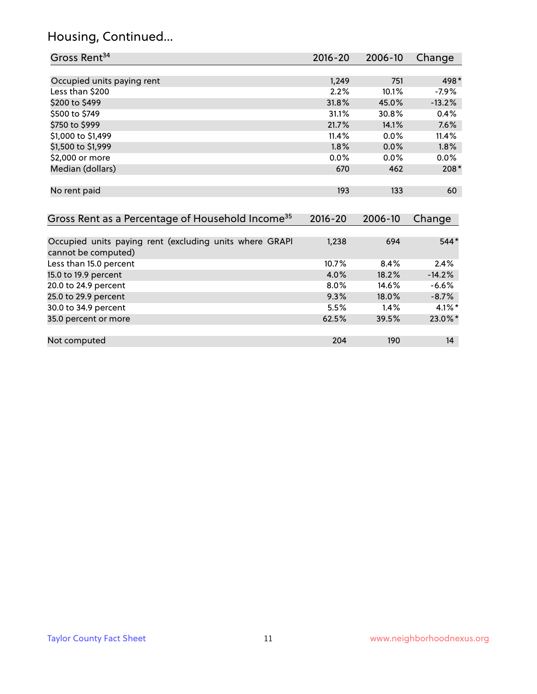# Housing, Continued...

| Gross Rent <sup>34</sup>                                                       | 2016-20     | 2006-10 | Change    |
|--------------------------------------------------------------------------------|-------------|---------|-----------|
|                                                                                |             |         |           |
| Occupied units paying rent                                                     | 1,249       | 751     | 498*      |
| Less than \$200                                                                | 2.2%        | 10.1%   | $-7.9%$   |
| \$200 to \$499                                                                 | 31.8%       | 45.0%   | $-13.2%$  |
| \$500 to \$749                                                                 | 31.1%       | 30.8%   | 0.4%      |
| \$750 to \$999                                                                 | 21.7%       | 14.1%   | 7.6%      |
| \$1,000 to \$1,499                                                             | 11.4%       | 0.0%    | 11.4%     |
| \$1,500 to \$1,999                                                             | 1.8%        | 0.0%    | 1.8%      |
| \$2,000 or more                                                                | 0.0%        | 0.0%    | 0.0%      |
| Median (dollars)                                                               | 670         | 462     | $208*$    |
| No rent paid                                                                   | 193         | 133     | 60        |
| Gross Rent as a Percentage of Household Income <sup>35</sup>                   | $2016 - 20$ | 2006-10 | Change    |
| Occupied units paying rent (excluding units where GRAPI<br>cannot be computed) | 1,238       | 694     | $544*$    |
| Less than 15.0 percent                                                         | 10.7%       | 8.4%    | 2.4%      |
| 15.0 to 19.9 percent                                                           | 4.0%        | 18.2%   | $-14.2%$  |
| 20.0 to 24.9 percent                                                           | 8.0%        | 14.6%   | $-6.6%$   |
| 25.0 to 29.9 percent                                                           | 9.3%        | 18.0%   | $-8.7%$   |
| 30.0 to 34.9 percent                                                           | 5.5%        | 1.4%    | $4.1\%$ * |
| 35.0 percent or more                                                           | 62.5%       | 39.5%   | 23.0%*    |
| Not computed                                                                   | 204         | 190     | 14        |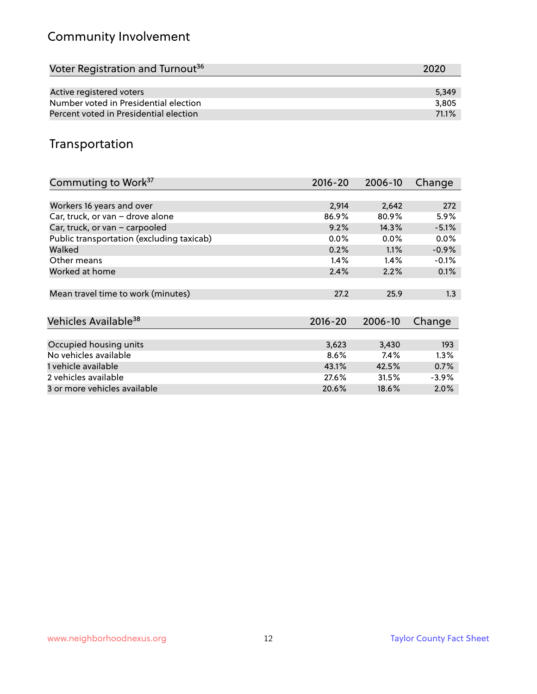# Community Involvement

| Voter Registration and Turnout <sup>36</sup> | 2020  |
|----------------------------------------------|-------|
|                                              |       |
| Active registered voters                     | 5.349 |
| Number voted in Presidential election        | 3,805 |
| Percent voted in Presidential election       | 71.1% |

## Transportation

| Commuting to Work <sup>37</sup>           | $2016 - 20$ | 2006-10 | Change  |
|-------------------------------------------|-------------|---------|---------|
|                                           |             |         |         |
| Workers 16 years and over                 | 2,914       | 2,642   | 272     |
| Car, truck, or van - drove alone          | 86.9%       | 80.9%   | 5.9%    |
| Car, truck, or van - carpooled            | 9.2%        | 14.3%   | $-5.1%$ |
| Public transportation (excluding taxicab) | $0.0\%$     | $0.0\%$ | $0.0\%$ |
| Walked                                    | 0.2%        | 1.1%    | $-0.9%$ |
| Other means                               | 1.4%        | 1.4%    | $-0.1%$ |
| Worked at home                            | 2.4%        | 2.2%    | 0.1%    |
|                                           |             |         |         |
| Mean travel time to work (minutes)        | 27.2        | 25.9    | 1.3     |
|                                           |             |         |         |
| Vehicles Available <sup>38</sup>          | $2016 - 20$ | 2006-10 | Change  |
|                                           |             |         |         |
| Occupied housing units                    | 3,623       | 3,430   | 193     |
| No vehicles available                     | 8.6%        | 7.4%    | $1.3\%$ |
| 1 vehicle available                       | 43.1%       | 42.5%   | 0.7%    |
| 2 vehicles available                      | 27.6%       | 31.5%   | $-3.9%$ |
| 3 or more vehicles available              | 20.6%       | 18.6%   | $2.0\%$ |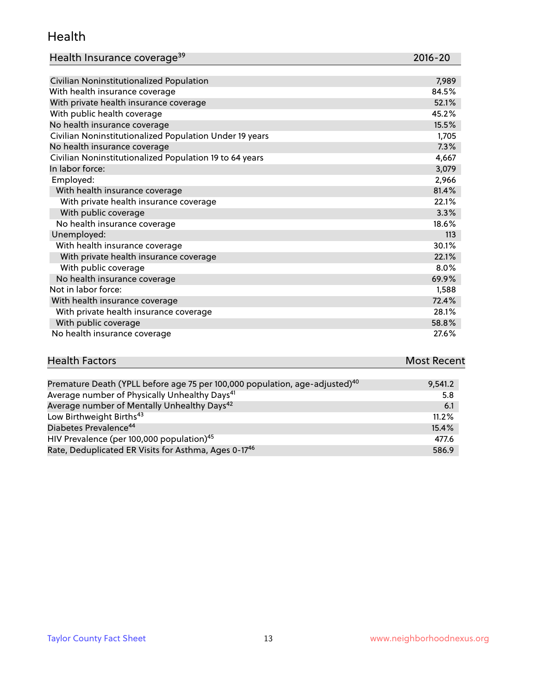#### Health

| Health Insurance coverage <sup>39</sup> | 2016-20 |
|-----------------------------------------|---------|
|-----------------------------------------|---------|

| Civilian Noninstitutionalized Population                | 7,989 |
|---------------------------------------------------------|-------|
| With health insurance coverage                          | 84.5% |
| With private health insurance coverage                  | 52.1% |
| With public health coverage                             | 45.2% |
| No health insurance coverage                            | 15.5% |
| Civilian Noninstitutionalized Population Under 19 years | 1,705 |
| No health insurance coverage                            | 7.3%  |
| Civilian Noninstitutionalized Population 19 to 64 years | 4,667 |
| In labor force:                                         | 3,079 |
| Employed:                                               | 2,966 |
| With health insurance coverage                          | 81.4% |
| With private health insurance coverage                  | 22.1% |
| With public coverage                                    | 3.3%  |
| No health insurance coverage                            | 18.6% |
| Unemployed:                                             | 113   |
| With health insurance coverage                          | 30.1% |
| With private health insurance coverage                  | 22.1% |
| With public coverage                                    | 8.0%  |
| No health insurance coverage                            | 69.9% |
| Not in labor force:                                     | 1,588 |
| With health insurance coverage                          | 72.4% |
| With private health insurance coverage                  | 28.1% |
| With public coverage                                    | 58.8% |
| No health insurance coverage                            | 27.6% |

| <b>Health Factors</b> | <b>Most Recent</b> |
|-----------------------|--------------------|
|                       |                    |

| Premature Death (YPLL before age 75 per 100,000 population, age-adjusted) <sup>40</sup> | 9.541.2 |
|-----------------------------------------------------------------------------------------|---------|
| Average number of Physically Unhealthy Days <sup>41</sup>                               | 5.8     |
| Average number of Mentally Unhealthy Days <sup>42</sup>                                 | 6.1     |
| Low Birthweight Births <sup>43</sup>                                                    | 11.2%   |
| Diabetes Prevalence <sup>44</sup>                                                       | 15.4%   |
| HIV Prevalence (per 100,000 population) <sup>45</sup>                                   | 477.6   |
| Rate, Deduplicated ER Visits for Asthma, Ages 0-17 <sup>46</sup>                        | 586.9   |